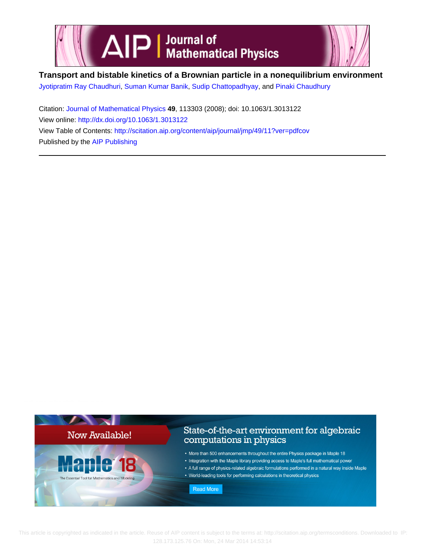

# **Transport and bistable kinetics of a Brownian particle in a nonequilibrium environment**

[Jyotipratim Ray Chaudhuri,](http://scitation.aip.org/search?value1=Jyotipratim+Ray+Chaudhuri&option1=author) [Suman Kumar Banik](http://scitation.aip.org/search?value1=Suman+Kumar+Banik&option1=author), [Sudip Chattopadhyay](http://scitation.aip.org/search?value1=Sudip+Chattopadhyay&option1=author), and [Pinaki Chaudhury](http://scitation.aip.org/search?value1=Pinaki+Chaudhury&option1=author)

Citation: [Journal of Mathematical Physics](http://scitation.aip.org/content/aip/journal/jmp?ver=pdfcov) **49**, 113303 (2008); doi: 10.1063/1.3013122 View online: <http://dx.doi.org/10.1063/1.3013122> View Table of Contents: <http://scitation.aip.org/content/aip/journal/jmp/49/11?ver=pdfcov> Published by the [AIP Publishing](http://scitation.aip.org/content/aip?ver=pdfcov)



 This article is copyrighted as indicated in the article. Reuse of AIP content is subject to the terms at: http://scitation.aip.org/termsconditions. Downloaded to IP: 128.173.125.76 On: Mon, 24 Mar 2014 14:53:14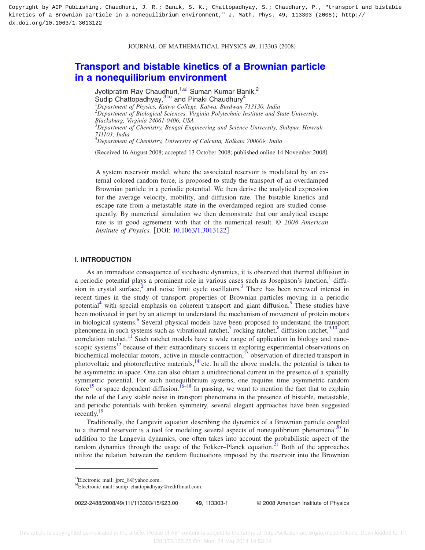#### JOURNAL OF MATHEMATICAL PHYSICS 49, 113303 (2008)

## **[Transport and bistable kinetics of a Brownian particle](http://dx.doi.org/10.1063/1.3013122) [in a nonequilibrium environment](http://dx.doi.org/10.1063/1.3013122)**

Jyotipratim Ray Chaudhuri,<sup>1[,a](#page-1-0))</sup> Suman Kumar Banik,<sup>2</sup> Sudip Chattopadhyay,  $3, b$  and Pinaki Chaudhury<sup>4</sup> 1 *Department of Physics, Katwa College, Katwa, Burdwan 713130, India* 2 *Department of Biological Sciences, Virginia Polytechnic Institute and State University, Blacksburg, Virginia 24061-0406, USA* 3 *Department of Chemistry, Bengal Engineering and Science University, Shibpur, Howrah 711103, India* 4 *Department of Chemistry, University of Calcutta, Kolkata 700009, India*

Received 16 August 2008; accepted 13 October 2008; published online 14 November 2008-

A system reservoir model, where the associated reservoir is modulated by an external colored random force, is proposed to study the transport of an overdamped Brownian particle in a periodic potential. We then derive the analytical expression for the average velocity, mobility, and diffusion rate. The bistable kinetics and escape rate from a metastable state in the overdamped region are studied consequently. By numerical simulation we then demonstrate that our analytical escape rate is in good agreement with that of the numerical result. © *2008 American Institute of Physics.* [DOI: [10.1063/1.3013122](http://dx.doi.org/10.1063/1.3013122)]

## **I. INTRODUCTION**

As an immediate consequence of stochastic dynamics, it is observed that thermal diffusion in a periodic potential plays a prominent role in various cases such as Josephson's junction, $\frac{1}{1}$  diffusion in crystal surface,<sup>2</sup> and noise limit cycle oscillators.<sup>3</sup> There has been renewed interest in recent times in the study of transport properties of Brownian particles moving in a periodic potential<sup>4</sup> with special emphasis on coherent transport and giant diffusion.<sup>5</sup> These studies have been motivated in part by an attempt to understand the mechanism of movement of protein motors in biological systems.<sup>6</sup> Several physical models have been proposed to understand the transport phenomena in such systems such as vibrational ratchet,<sup>7</sup> rocking ratchet, $^8$  diffusion ratchet, $^{9,10}$  $^{9,10}$  $^{9,10}$  and correlation ratchet.<sup>11</sup> Such ratchet models have a wide range of application in biology and nanoscopic systems $12$  because of their extraordinary success in exploring experimental observations on biochemical molecular motors, active in muscle contraction,<sup>13</sup> observation of directed transport in photovoltaic and photoreflective materials, $14$  etc. In all the above models, the potential is taken to be asymmetric in space. One can also obtain a unidirectional current in the presence of a spatially symmetric potential. For such nonequilibrium systems, one requires time asymmetric random force<sup>15</sup> or space dependent diffusion.<sup>16[–18](#page-15-3)</sup> In passing, we want to mention the fact that to explain the role of the Levy stable noise in transport phenomena in the presence of bistable, metastable, and periodic potentials with broken symmetry, several elegant approaches have been suggested recently. $19$ 

Traditionally, the Langevin equation describing the dynamics of a Brownian particle coupled to a thermal reservoir is a tool for modeling several aspects of nonequilibrium phenomena.<sup>20</sup> In addition to the Langevin dynamics, one often takes into account the probabilistic aspect of the random dynamics through the usage of the Fokker–Planck equation. $^{21}$  Both of the approaches utilize the relation between the random fluctuations imposed by the reservoir into the Brownian

0022-2488/2008/49(11)/113303/15/\$23.00

11/113303/15/\$23.00 © 2008 American Institute of Physics **49**, 113303-1

<span id="page-1-0"></span>a)Electronic mail: jprc\_8@yahoo.com.

<span id="page-1-1"></span>b)Electronic mail: sudip\_chattopadhyay@rediffmail.com.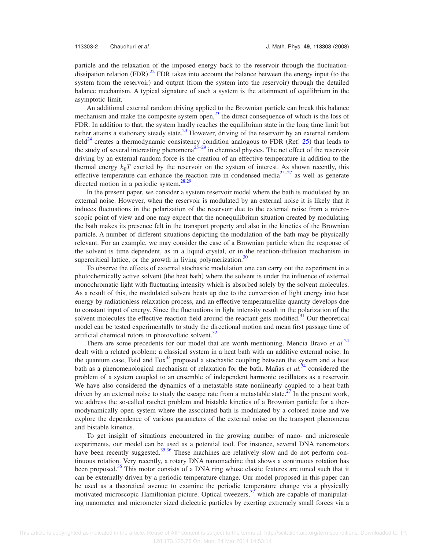particle and the relaxation of the imposed energy back to the reservoir through the fluctuation-dissipation relation (FDR).<sup>[22](#page-15-7)</sup> FDR takes into account the balance between the energy input (to the system from the reservoir) and output (from the system into the reservoir) through the detailed balance mechanism. A typical signature of such a system is the attainment of equilibrium in the asymptotic limit.

An additional external random driving applied to the Brownian particle can break this balance mechanism and make the composite system open, $^{23}$  the direct consequence of which is the loss of FDR. In addition to that, the system hardly reaches the equilibrium state in the long time limit but rather attains a stationary steady state.<sup>23</sup> However, driving of the reservoir by an external random field<sup>24</sup> creates a thermodynamic consistency condition analogous to FDR (Ref. [25](#page-15-10)) that leads to the study of several interesting phenomena<sup>25–[29](#page-15-11)</sup> in chemical physics. The net effect of the reservoir driving by an external random force is the creation of an effective temperature in addition to the thermal energy  $k_B T$  exerted by the reservoir on the system of interest. As shown recently, this effective temperature can enhance the reaction rate in condensed media $25-27$  as well as generate directed motion in a periodic system. $28,29$  $28,29$ 

In the present paper, we consider a system reservoir model where the bath is modulated by an external noise. However, when the reservoir is modulated by an external noise it is likely that it induces fluctuations in the polarization of the reservoir due to the external noise from a microscopic point of view and one may expect that the nonequilibrium situation created by modulating the bath makes its presence felt in the transport property and also in the kinetics of the Brownian particle. A number of different situations depicting the modulation of the bath may be physically relevant. For an example, we may consider the case of a Brownian particle when the response of the solvent is time dependent, as in a liquid crystal, or in the reaction-diffusion mechanism in supercritical lattice, or the growth in living polymerization.<sup>30</sup>

To observe the effects of external stochastic modulation one can carry out the experiment in a photochemically active solvent (the heat bath) where the solvent is under the influence of external monochromatic light with fluctuating intensity which is absorbed solely by the solvent molecules. As a result of this, the modulated solvent heats up due to the conversion of light energy into heat energy by radiationless relaxation process, and an effective temperaturelike quantity develops due to constant input of energy. Since the fluctuations in light intensity result in the polarization of the solvent molecules the effective reaction field around the reactant gets modified.<sup>31</sup> Our theoretical model can be tested experimentally to study the directional motion and mean first passage time of artificial chemical rotors in photovoltaic solvent.<sup>32</sup>

There are some precedents for our model that are worth mentioning. Mencia Bravo *et al.*<sup>[24](#page-15-9)</sup> dealt with a related problem: a classical system in a heat bath with an additive external noise. In the quantum case, Faid and  $Fox<sup>33</sup>$  proposed a stochastic coupling between the system and a heat bath as a phenomenological mechanism of relaxation for the bath. Mañas *et al.*[34](#page-15-18) considered the problem of a system coupled to an ensemble of independent harmonic oscillators as a reservoir. We have also considered the dynamics of a metastable state nonlinearly coupled to a heat bath driven by an external noise to study the escape rate from a metastable state.<sup>27</sup> In the present work, we address the so-called ratchet problem and bistable kinetics of a Brownian particle for a thermodynamically open system where the associated bath is modulated by a colored noise and we explore the dependence of various parameters of the external noise on the transport phenomena and bistable kinetics.

To get insight of situations encountered in the growing number of nano- and microscale experiments, our model can be used as a potential tool. For instance, several DNA nanomotors have been recently suggested.<sup>35[,36](#page-15-20)</sup> These machines are relatively slow and do not perform continuous rotation. Very recently, a rotary DNA nanomachine that shows a continuous rotation has been proposed.<sup>35</sup> This motor consists of a DNA ring whose elastic features are tuned such that it can be externally driven by a periodic temperature change. Our model proposed in this paper can be used as a theoretical avenue to examine the periodic temperature change via a physically motivated microscopic Hamiltonian picture. Optical tweezers,<sup>37</sup> which are capable of manipulating nanometer and micrometer sized dielectric particles by exerting extremely small forces via a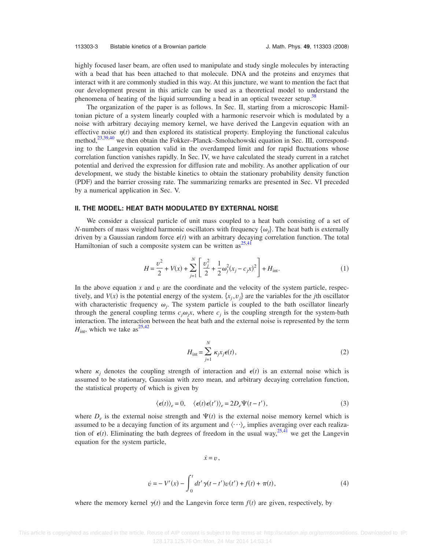highly focused laser beam, are often used to manipulate and study single molecules by interacting with a bead that has been attached to that molecule. DNA and the proteins and enzymes that interact with it are commonly studied in this way. At this juncture, we want to mention the fact that our development present in this article can be used as a theoretical model to understand the phenomena of heating of the liquid surrounding a bead in an optical tweezer setup.<sup>38</sup>

The organization of the paper is as follows. In Sec. II, starting from a microscopic Hamiltonian picture of a system linearly coupled with a harmonic reservoir which is modulated by a noise with arbitrary decaying memory kernel, we have derived the Langevin equation with an effective noise  $\eta(t)$  and then explored its statistical property. Employing the functional calculus method,<sup>23[,39,](#page-15-23)[40](#page-15-24)</sup> we then obtain the Fokker–Planck–Smoluchowski equation in Sec. III, corresponding to the Langevin equation valid in the overdamped limit and for rapid fluctuations whose correlation function vanishes rapidly. In Sec. IV, we have calculated the steady current in a ratchet potential and derived the expression for diffusion rate and mobility. As another application of our development, we study the bistable kinetics to obtain the stationary probability density function (PDF) and the barrier crossing rate. The summarizing remarks are presented in Sec. VI preceded by a numerical application in Sec. V.

## **II. THE MODEL: HEAT BATH MODULATED BY EXTERNAL NOISE**

We consider a classical particle of unit mass coupled to a heat bath consisting of a set of *N*-numbers of mass weighted harmonic oscillators with frequency  $\{\omega_j\}$ . The heat bath is externally driven by a Gaussian random force  $\epsilon(t)$  with an arbitrary decaying correlation function. The total Hamiltonian of such a composite system can be written as  $25,41$  $25,41$ 

$$
H = \frac{v^2}{2} + V(x) + \sum_{j=1}^{N} \left[ \frac{v_j^2}{2} + \frac{1}{2} \omega_j^2 (x_j - c_j x)^2 \right] + H_{\text{int}}.
$$
 (1)

In the above equation  $x$  and  $v$  are the coordinate and the velocity of the system particle, respectively, and  $V(x)$  is the potential energy of the system.  $\{x_j, v_j\}$  are the variables for the *j*th oscillator with characteristic frequency  $\omega_j$ . The system particle is coupled to the bath oscillator linearly through the general coupling terms  $c_j \omega_j x$ , where  $c_j$  is the coupling strength for the system-bath interaction. The interaction between the heat bath and the external noise is represented by the term  $H_{\text{int}}$ , which we take as<sup>25[,42](#page-15-26)</sup>

$$
H_{\text{int}} = \sum_{j=1}^{N} \kappa_j x_j \epsilon(t), \qquad (2)
$$

where  $\kappa_j$  denotes the coupling strength of interaction and  $\epsilon(t)$  is an external noise which is assumed to be stationary, Gaussian with zero mean, and arbitrary decaying correlation function, the statistical property of which is given by

$$
\langle \epsilon(t) \rangle_e = 0, \quad \langle \epsilon(t) \epsilon(t') \rangle_e = 2D_e \Psi(t - t'), \tag{3}
$$

<span id="page-3-0"></span>where  $D_e$  is the external noise strength and  $\Psi(t)$  is the external noise memory kernel which is assumed to be a decaying function of its argument and  $\langle \cdots \rangle_e$  implies averaging over each realization of  $\epsilon(t)$ . Eliminating the bath degrees of freedom in the usual way,  $25,41$  $25,41$  we get the Langevin equation for the system particle,

$$
\dot{x}=v\,,
$$

$$
\dot{v} = -V'(x) - \int_0^t dt' \gamma(t - t')v(t') + f(t) + \pi(t),
$$
\n(4)

where the memory kernel  $\gamma(t)$  and the Langevin force term  $f(t)$  are given, respectively, by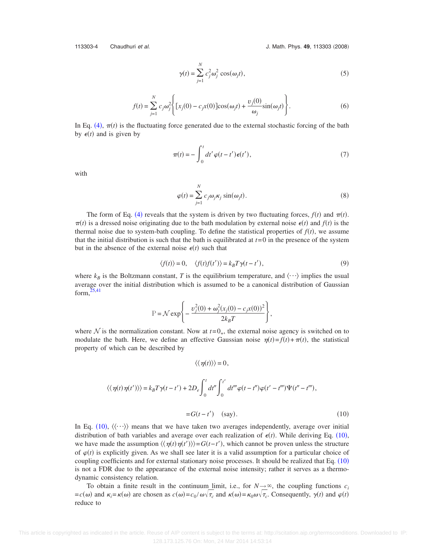<span id="page-4-0"></span>

113303-4 Chaudhuri *et al.* 2008) **113303 (2008)** J. Math. Phys. **49**, 113303 (2008)

$$
\gamma(t) = \sum_{j=1}^{N} c_j^2 \omega_j^2 \cos(\omega_j t),
$$
\n(5)

$$
f(t) = \sum_{j=1}^{N} c_j \omega_j^2 \left\{ \left[ x_j(0) - c_j x(0) \right] \cos(\omega_j t) + \frac{v_j(0)}{\omega_j} \sin(\omega_j t) \right\}.
$$
 (6)

<span id="page-4-1"></span>In Eq. ([4](#page-3-0)),  $\pi(t)$  is the fluctuating force generated due to the external stochastic forcing of the bath by  $\epsilon(t)$  and is given by

$$
\pi(t) = -\int_0^t dt' \varphi(t - t') \epsilon(t'), \qquad (7)
$$

with

$$
\varphi(t) = \sum_{j=1}^{N} c_j \omega_j \kappa_j \sin(\omega_j t). \tag{8}
$$

The form of Eq. ([4](#page-3-0)) reveals that the system is driven by two fluctuating forces,  $f(t)$  and  $\pi(t)$ .  $\pi(t)$  is a dressed noise originating due to the bath modulation by external noise  $\epsilon(t)$  and  $f(t)$  is the thermal noise due to system-bath coupling. To define the statistical properties of  $f(t)$ , we assume that the initial distribution is such that the bath is equilibrated at  $t=0$  in the presence of the system but in the absence of the external noise  $\epsilon(t)$  such that

$$
\langle f(t) \rangle = 0, \quad \langle f(t)f(t') \rangle = k_B T \gamma (t - t'), \tag{9}
$$

<span id="page-4-2"></span>where  $k_B$  is the Boltzmann constant, *T* is the equilibrium temperature, and  $\langle \cdots \rangle$  implies the usual average over the initial distribution which is assumed to be a canonical distribution of Gaussian form, $25,41$  $25,41$ 

$$
\mathbb{P} = \mathcal{N} \exp \left\{ -\frac{v_j^2(0) + \omega_j^2 (x_j(0) - c_j x(0))^2}{2k_B T} \right\},\,
$$

where  $N$  is the normalization constant. Now at  $t=0_+$ , the external noise agency is switched on to modulate the bath. Here, we define an effective Gaussian noise  $\eta(t) = f(t) + \pi(t)$ , the statistical property of which can be described by

$$
\langle\langle \eta(t)\rangle\rangle = 0,
$$
  

$$
\langle\langle \eta(t)\eta(t')\rangle\rangle = k_B T \gamma(t - t') + 2D_e \int_0^t dt'' \int_0^{t'} dt'''\varphi(t - t'')\varphi(t' - t''')\Psi(t'' - t'''),
$$

$$
=G(t-t') \quad \text{(say)}.\tag{10}
$$

In Eq. ([10](#page-4-0)),  $\langle \langle \cdots \rangle \rangle$  means that we have taken two averages independently, average over initial distribution of bath variables and average over each realization of  $\epsilon(t)$ . While deriving Eq. ([10](#page-4-0)), we have made the assumption  $\langle \langle \eta(t) \eta(t') \rangle \rangle = G(t-t')$ , which cannot be proven unless the structure of  $\varphi(t)$  is explicitly given. As we shall see later it is a valid assumption for a particular choice of coupling coefficients and for external stationary noise processes. It should be realized that Eq.  $(10)$  $(10)$  $(10)$ is not a FDR due to the appearance of the external noise intensity; rather it serves as a thermodynamic consistency relation.

To obtain a finite result in the continuum limit, i.e., for  $N \rightarrow \infty$ , the coupling functions  $c_i$  $= c(\omega)$  and  $\kappa_i = \kappa(\omega)$  are chosen as  $c(\omega) = c_0 / \omega \sqrt{\tau_c}$  and  $\kappa(\omega) = \kappa_0 \omega \sqrt{\tau_c}$ . Consequently,  $\gamma(t)$  and  $\varphi(t)$ reduce to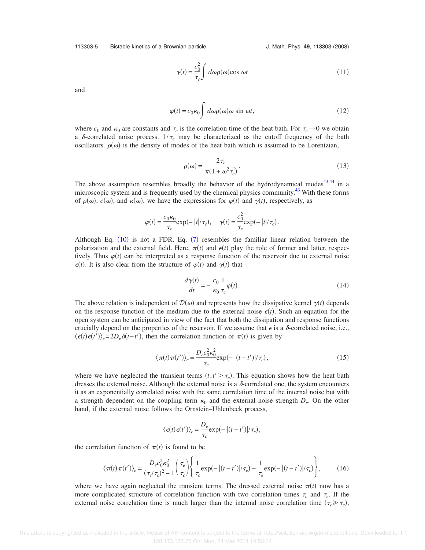113303-5 Bistable kinetics of a Brownian particle

J. Math. Phys. 49, 113303 (2008)

$$
\gamma(t) = \frac{c_0^2}{\tau_c} \int d\omega \rho(\omega) \cos \omega t \tag{11}
$$

and

$$
\varphi(t) = c_0 \kappa_0 \int d\omega \rho(\omega) \omega \sin \omega t, \qquad (12)
$$

where  $c_0$  and  $\kappa_0$  are constants and  $\tau_c$  is the correlation time of the heat bath. For  $\tau_c \to 0$  we obtain a  $\delta$ -correlated noise process.  $1/\tau_c$  may be characterized as the cutoff frequency of the bath oscillators.  $\rho(\omega)$  is the density of modes of the heat bath which is assumed to be Lorentzian,

$$
\rho(\omega) = \frac{2\tau_c}{\pi (1 + \omega^2 \tau_c^2)}.
$$
\n(13)

The above assumption resembles broadly the behavior of the hydrodynamical modes<sup>43[,44](#page-15-28)</sup> in a microscopic system and is frequently used by the chemical physics community. $43$  With these forms of  $\rho(\omega)$ ,  $c(\omega)$ , and  $\kappa(\omega)$ , we have the expressions for  $\varphi(t)$  and  $\gamma(t)$ , respectively, as

$$
\varphi(t) = \frac{c_0 \kappa_0}{\tau_c} \exp(-|t|/\tau_c), \quad \gamma(t) = \frac{c_0^2}{\tau_c} \exp(-|t|/\tau_c).
$$

Although Eq.  $(10)$  $(10)$  $(10)$  is not a FDR, Eq.  $(7)$  $(7)$  $(7)$  resembles the familiar linear relation between the polarization and the external field. Here,  $\pi(t)$  and  $\epsilon(t)$  play the role of former and latter, respectively. Thus  $\varphi(t)$  can be interpreted as a response function of the reservoir due to external noise  $\epsilon(t)$ . It is also clear from the structure of  $\varphi(t)$  and  $\gamma(t)$  that

$$
\frac{d\gamma(t)}{dt} = -\frac{c_0}{\kappa_0} \frac{1}{\tau_c} \varphi(t). \tag{14}
$$

The above relation is independent of  $\mathcal{D}(\omega)$  and represents how the dissipative kernel  $\gamma(t)$  depends on the response function of the medium due to the external noise  $\epsilon(t)$ . Such an equation for the open system can be anticipated in view of the fact that both the dissipation and response functions crucially depend on the properties of the reservoir. If we assume that  $\epsilon$  is a  $\delta$ -correlated noise, i.e.,  $\langle \epsilon(t) \epsilon(t') \rangle_e = 2D_e \delta(t-t')$ , then the correlation function of  $\pi(t)$  is given by

$$
\langle \pi(t)\pi(t')\rangle_e = \frac{D_e c_0^2 \kappa_0^2}{\tau_c} \exp(-\left|(t-t')\right|/\tau_c),\tag{15}
$$

<span id="page-5-0"></span>where we have neglected the transient terms  $(t, t' > \tau_c)$ . This equation shows how the heat bath dresses the external noise. Although the external noise is a  $\delta$ -correlated one, the system encounters it as an exponentially correlated noise with the same correlation time of the internal noise but with a strength dependent on the coupling term  $\kappa_0$  and the external noise strength  $D_e$ . On the other hand, if the external noise follows the Ornstein–Uhlenbeck process,

$$
\langle \epsilon(t) \epsilon(t') \rangle_e = \frac{D_e}{\tau_c} \exp(-\left|(t-t')\right| / \tau_e),
$$

the correlation function of  $\pi(t)$  is found to be

$$
\langle \pi(t)\pi(t')\rangle_e = \frac{D_e c_0^2 \kappa_0^2}{(\tau_e/\tau_c)^2 - 1} \left(\frac{\tau_e}{\tau_c}\right) \left\{ \frac{1}{\tau_c} \exp\left(-\left|(t-t')\right|/\tau_e\right) - \frac{1}{\tau_e} \exp\left(-\left|(t-t')\right|/\tau_c\right) \right\},\tag{16}
$$

where we have again neglected the transient terms. The dressed external noise  $\pi(t)$  now has a more complicated structure of correlation function with two correlation times  $\tau_c$  and  $\tau_e$ . If the external noise correlation time is much larger than the internal noise correlation time  $(\tau_e \gg \tau_c)$ ,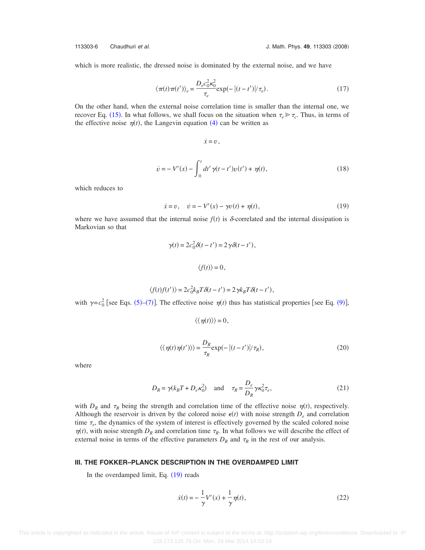which is more realistic, the dressed noise is dominated by the external noise, and we have

$$
\langle \pi(t)\pi(t')\rangle_e = \frac{D_e c_0^2 \kappa_0^2}{\tau_e} \exp(-|(t-t')|/\tau_e). \tag{17}
$$

On the other hand, when the external noise correlation time is smaller than the internal one, we recover Eq. ([15](#page-5-0)). In what follows, we shall focus on the situation when  $\tau_e \gg \tau_c$ . Thus, in terms of the effective noise  $\eta(t)$ , the Langevin equation ([4](#page-3-0)) can be written as

$$
\dot{x}=v\,,
$$

$$
\dot{v} = -V'(x) - \int_0^t dt' \gamma(t - t') v(t') + \eta(t),
$$
\n(18)

which reduces to

$$
\dot{x} = v, \quad \dot{v} = -V'(x) - \gamma v(t) + \eta(t), \tag{19}
$$

<span id="page-6-0"></span>where we have assumed that the internal noise  $f(t)$  is  $\delta$ -correlated and the internal dissipation is Markovian so that

$$
\gamma(t) = 2c_0^2 \delta(t - t') = 2\gamma \delta(t - t'),
$$

$$
\langle f(t) \rangle = 0,
$$

$$
\langle f(t)f(t') \rangle = 2c_0^2 k_B T \delta(t - t') = 2\gamma k_B T \delta(t - t'),
$$

with  $\gamma = c_0^2$  [see Eqs. ([5](#page-4-0))–([7](#page-4-1))]. The effective noise  $\eta(t)$  thus has statistical properties [see Eq. ([9](#page-4-2))],

$$
\langle \langle \eta(t) \rangle \rangle = 0,
$$
  

$$
\langle \langle \eta(t) \eta(t') \rangle \rangle = \frac{D_R}{\tau_R} \exp(-\left| (t - t') \right| / \tau_R),
$$
 (20)

where

$$
D_R = \gamma (k_B T + D_e \kappa_0^2) \quad \text{and} \quad \tau_R = \frac{D_e}{D_R} \gamma \kappa_0^2 \tau_e,
$$
 (21)

with  $D_R$  and  $\tau_R$  being the strength and correlation time of the effective noise  $\eta(t)$ , respectively. Although the reservoir is driven by the colored noise  $\epsilon(t)$  with noise strength  $D_e$  and correlation time  $\tau_e$ , the dynamics of the system of interest is effectively governed by the scaled colored noise  $\eta(t)$ , with noise strength  $D_R$  and correlation time  $\tau_R$ . In what follows we will describe the effect of external noise in terms of the effective parameters  $D_R$  and  $\tau_R$  in the rest of our analysis.

## <span id="page-6-1"></span>**III. THE FOKKER–PLANCK DESCRIPTION IN THE OVERDAMPED LIMIT**

In the overdamped limit, Eq. ([19](#page-6-0)) reads

$$
\dot{x}(t) = -\frac{1}{\gamma}V'(x) + \frac{1}{\gamma}\eta(t),
$$
\n(22)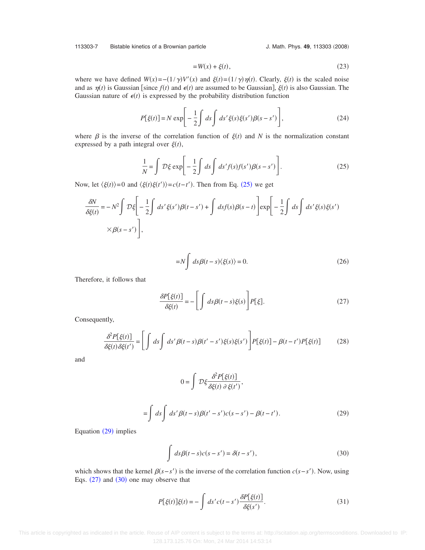113303-7 Bistable kinetics of a Brownian particle

J. Math. Phys. 49, 113303 (2008)

$$
=W(x) + \xi(t),\tag{23}
$$

<span id="page-7-4"></span>where we have defined  $W(x) = -(1/\gamma)V'(x)$  and  $\xi(t) = (1/\gamma)\eta(t)$ . Clearly,  $\xi(t)$  is the scaled noise and as  $\eta(t)$  is Gaussian [since  $f(t)$  and  $\epsilon(t)$  are assumed to be Gaussian],  $\xi(t)$  is also Gaussian. The Gaussian nature of  $\epsilon(t)$  is expressed by the probability distribution function

$$
P[\xi(t)] = N \exp\left[-\frac{1}{2}\int ds \int ds' \xi(s)\xi(s')\beta(s-s')\right],\tag{24}
$$

<span id="page-7-0"></span>where  $\beta$  is the inverse of the correlation function of  $\xi(t)$  and *N* is the normalization constant expressed by a path integral over  $\xi(t)$ ,

$$
\frac{1}{N} = \int \mathcal{D}\xi \exp\left[-\frac{1}{2}\int ds \int ds' f(s)f(s')\beta(s-s')\right].
$$
\n(25)

Now, let  $\langle \xi(t) \rangle = 0$  and  $\langle \xi(t) \xi(t') \rangle = c(t - t')$ . Then from Eq. ([25](#page-7-0)) we get

$$
\frac{\delta N}{\delta \xi(t)} = -N^2 \int \mathcal{D}\xi \left[ -\frac{1}{2} \int ds' \xi(s')\beta(t-s') + \int ds f(s)\beta(s-t) \right] \exp\left[ -\frac{1}{2} \int ds \int ds' \xi(s)\xi(s') \times \beta(s-s') \right],
$$

$$
=N\int ds\beta(t-s)\langle\xi(s)\rangle=0.
$$
 (26)

<span id="page-7-2"></span>Therefore, it follows that

$$
\frac{\partial P[\xi(t)]}{\partial \xi(t)} = -\left[\int ds \beta(t-s)\xi(s)\right] P[\xi].\tag{27}
$$

Consequently,

$$
\frac{\partial^2 P[\xi(t)]}{\partial \xi(t)\partial \xi(t')} = \left[ \int ds \int ds' \beta(t-s) \beta(t'-s') \xi(s) \xi(s') \right] P[\xi(t)] - \beta(t-t') P[\xi(t)] \tag{28}
$$

<span id="page-7-1"></span>and

$$
0 = \int \mathcal{D}\xi \frac{\partial^2 P[\xi(t)]}{\partial \xi(t) \partial \xi(t')}
$$
  
= 
$$
\int ds \int ds' \beta(t-s) \beta(t'-s')c(s-s') - \beta(t-t').
$$
 (29)

<span id="page-7-3"></span>Equation ([29](#page-7-1)) implies

$$
\int ds \beta(t - s)c(s - s') = \delta(t - s'),
$$
\n(30)

which shows that the kernel  $\beta(s-s')$  is the inverse of the correlation function  $c(s-s')$ . Now, using Eqs.  $(27)$  $(27)$  $(27)$  and  $(30)$  $(30)$  $(30)$  one may observe that

$$
P[\xi(t)]\xi(t) = -\int ds' c(t - s') \frac{\delta P[\xi(t)]}{\delta\xi(s')}.
$$
\n(31)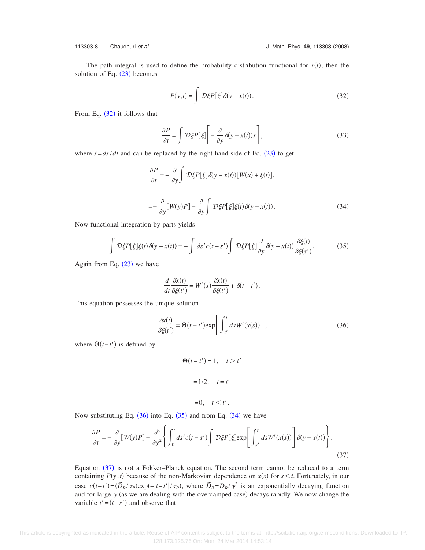<span id="page-8-0"></span>The path integral is used to define the probability distribution functional for  $x(t)$ ; then the solution of Eq.  $(23)$  $(23)$  $(23)$  becomes

$$
P(y,t) = \int \mathcal{D}\xi P[\xi] \delta(y - x(t)).
$$
\n(32)

From Eq.  $(32)$  $(32)$  $(32)$  it follows that

$$
\frac{\partial P}{\partial t} = \int \mathcal{D}\xi P[\xi] \left[ -\frac{\partial}{\partial y} \delta(y - x(t))\dot{x} \right],\tag{33}
$$

<span id="page-8-3"></span>where  $\dot{x} = dx/dt$  and can be replaced by the right hand side of Eq. ([23](#page-7-4)) to get

$$
\frac{\partial P}{\partial t} = -\frac{\partial}{\partial y} \int \mathcal{D}\xi P[\xi] \delta(y - x(t)) [W(x) + \xi(t)],
$$
  

$$
= -\frac{\partial}{\partial y} [W(y)P] - \frac{\partial}{\partial y} \int \mathcal{D}\xi P[\xi] \xi(t) \delta(y - x(t)).
$$
 (34)

<span id="page-8-2"></span>Now functional integration by parts yields

$$
\int \mathcal{D}\xi P[\xi]\xi(t)\delta(y-x(t)) = -\int ds' c(t-s')\int \mathcal{D}\xi P[\xi]\frac{\partial}{\partial y}\delta(y-x(t))\frac{\delta\xi(t)}{\delta\xi(s')}.
$$
 (35)

Again from Eq.  $(23)$  $(23)$  $(23)$  we have

$$
\frac{d}{dt}\frac{\delta x(t)}{\delta \xi(t')} = W'(x)\frac{\delta x(t)}{\delta \xi(t')} + \delta(t-t').
$$

<span id="page-8-1"></span>This equation possesses the unique solution

$$
\frac{\partial x(t)}{\partial \xi(t')} = \Theta(t - t') \exp\left[\int_{t'}^{t} ds W'(x(s))\right],\tag{36}
$$

where  $\Theta(t-t')$  is defined by

$$
\Theta(t - t') = 1, \quad t > t'
$$

$$
= 1/2, \quad t = t'
$$

$$
=0, \quad t \leq t'.
$$

<span id="page-8-4"></span>Now substituting Eq.  $(36)$  $(36)$  $(36)$  into Eq.  $(35)$  $(35)$  $(35)$  and from Eq.  $(34)$  $(34)$  $(34)$  we have

$$
\frac{\partial P}{\partial t} = -\frac{\partial}{\partial y} [W(y)P] + \frac{\partial^2}{\partial y^2} \left\{ \int_0^t ds' c(t - s') \int \mathcal{D}\xi P[\xi] \exp\left[\int_{s'}^t ds W'(x(s))\right] \delta(y - x(t)) \right\}.
$$
\n(37)

Equation ([37](#page-8-4)) is not a Fokker-Planck equation. The second term cannot be reduced to a term containing  $P(y, t)$  because of the non-Markovian dependence on  $x(s)$  for  $s \le t$ . Fortunately, in our case  $c(t-t') = (\tilde{D}_R/\tau_R) \exp(-|t-t'|/\tau_R)$ , where  $\tilde{D}_R = D_R/\gamma^2$  is an exponentially decaying function and for large  $\gamma$  (as we are dealing with the overdamped case) decays rapidly. We now change the variable  $t' = (t - s')$  and observe that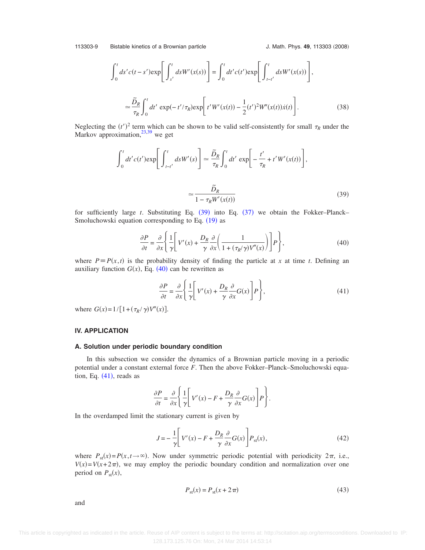<span id="page-9-3"></span>
$$
\int_{0}^{t} ds' c(t - s') \exp\left[\int_{s'}^{t} ds W'(x(s))\right] = \int_{0}^{t} dt' c(t') \exp\left[\int_{t - t'}^{t} ds W'(x(s))\right],
$$
  

$$
\approx \frac{\tilde{D}_{R}}{\tau_{R}} \int_{0}^{t} dt' \exp(-t'/\tau_{R}) \exp\left[t' W'(x(t)) - \frac{1}{2}(t')^{2} W''(x(t))\dot{x}(t)\right].
$$
 (38)

<span id="page-9-0"></span>Neglecting the  $(t')^2$  term which can be shown to be valid self-consistently for small  $\tau_R$  under the Markov approximation, $^{23,39}$  $^{23,39}$  $^{23,39}$  we get

$$
\int_0^t dt' c(t') \exp\left[\int_{t-t'}^t ds W'(s)\right] \approx \frac{\tilde{D}_R}{\tau_R} \int_0^t dt' \exp\left[-\frac{t'}{\tau_R} + t' W'(x(t))\right],
$$

$$
\approx \frac{\tilde{D}_R}{1 - \tau_R W'(x(t))}
$$
(39)

<span id="page-9-1"></span>for sufficiently large  $t$ . Substituting Eq.  $(39)$  $(39)$  $(39)$  into Eq.  $(37)$  $(37)$  $(37)$  we obtain the Fokker–Planck– Smoluchowski equation corresponding to Eq. ([19](#page-6-0)) as

$$
\frac{\partial P}{\partial t} = \frac{\partial}{\partial x} \left\{ \frac{1}{\gamma} \left[ V'(x) + \frac{D_R}{\gamma} \frac{\partial}{\partial x} \left( \frac{1}{1 + (\tau_R/\gamma) V''(x)} \right) \right] P \right\},\tag{40}
$$

<span id="page-9-2"></span>where  $P = P(x, t)$  is the probability density of finding the particle at *x* at time *t*. Defining an auxiliary function  $G(x)$ , Eq.  $(40)$  $(40)$  $(40)$  can be rewritten as

$$
\frac{\partial P}{\partial t} = \frac{\partial}{\partial x} \left\{ \frac{1}{\gamma} \left[ V'(x) + \frac{D_R}{\gamma} \frac{\partial}{\partial x} G(x) \right] P \right\},\tag{41}
$$

where  $G(x) = 1/[1 + (\tau_R / \gamma)V''(x)].$ 

## **IV. APPLICATION**

#### **A. Solution under periodic boundary condition**

In this subsection we consider the dynamics of a Brownian particle moving in a periodic potential under a constant external force *F*. Then the above Fokker–Planck–Smoluchowski equation, Eq.  $(41)$  $(41)$  $(41)$ , reads as

$$
\frac{\partial P}{\partial t} = \frac{\partial}{\partial x} \left\{ \frac{1}{\gamma} \left[ V'(x) - F + \frac{D_R}{\gamma} \frac{\partial}{\partial x} G(x) \right] P \right\}.
$$

In the overdamped limit the stationary current is given by

$$
J = -\frac{1}{\gamma} \left[ V'(x) - F + \frac{D_R}{\gamma} \frac{\partial}{\partial x} G(x) \right] P_{\rm st}(x), \tag{42}
$$

where  $P_{st}(x) = P(x, t \to \infty)$ . Now under symmetric periodic potential with periodicity  $2\pi$ , i.e.,  $V(x) = V(x + 2\pi)$ , we may employ the periodic boundary condition and normalization over one period on  $P_{\text{st}}(x)$ ,

$$
P_{\rm st}(x) = P_{\rm st}(x + 2\pi) \tag{43}
$$

<span id="page-9-4"></span>and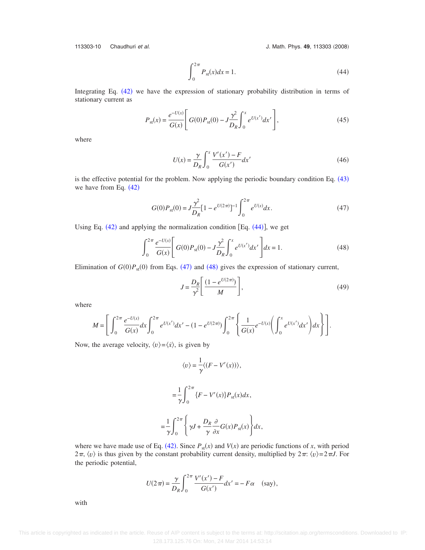<span id="page-10-0"></span>113303-10 Chaudhuri *et al.*  $\overline{a}$  **113303**  $(2008)$ 

$$
\int_{0}^{2\pi} P_{\rm st}(x) dx = 1.
$$
 (44)

Integrating Eq. ([42](#page-9-3)) we have the expression of stationary probability distribution in terms of stationary current as

$$
P_{\rm st}(x) = \frac{e^{-U(x)}}{G(x)} \left[ G(0)P_{\rm st}(0) - J \frac{\gamma^2}{D_R} \int_0^x e^{U(x')} dx' \right],\tag{45}
$$

where

$$
U(x) = \frac{\gamma}{D_R} \int_0^x \frac{V'(x') - F}{G(x')} dx'
$$
\n(46)

<span id="page-10-1"></span>is the effective potential for the problem. Now applying the periodic boundary condition Eq. ([43](#page-9-4)) we have from Eq.  $(42)$  $(42)$  $(42)$ 

$$
G(0)P_{\rm st}(0) = J \frac{\gamma^2}{D_R} \left[1 - e^{U(2\pi)}\right]^{-1} \int_0^{2\pi} e^{U(x)} dx.
$$
 (47)

<span id="page-10-2"></span>Using Eq.  $(42)$  $(42)$  $(42)$  and applying the normalization condition [Eq.  $(44)$  $(44)$  $(44)$ ], we get

$$
\int_{0}^{2\pi} \frac{e^{-U(x)}}{G(x)} \left[ G(0)P_{\text{st}}(0) - J \frac{\gamma^2}{D_R} \int_{0}^{x} e^{U(x')} dx' \right] dx = 1.
$$
 (48)

Elimination of  $G(0)P_{st}(0)$  from Eqs. ([47](#page-10-1)) and ([48](#page-10-2)) gives the expression of stationary current,

$$
J = \frac{D_R}{\gamma^2} \left[ \frac{\left(1 - e^{U(2\pi)}\right)}{M} \right],\tag{49}
$$

where

$$
M = \left[ \int_0^{2\pi} \frac{e^{-U(x)}}{G(x)} dx \int_0^{2\pi} e^{U(x')} dx' - (1 - e^{U(2\pi)}) \int_0^{2\pi} \left\{ \frac{1}{G(x)} e^{-U(x)} \left( \int_0^x e^{U(x')} dx' \right) dx \right\} \right].
$$

Now, the average velocity,  $\langle v \rangle = \langle \dot{x} \rangle$ , is given by

 $=$ 

$$
\langle v \rangle = \frac{1}{\gamma} \langle (F - V'(x)) \rangle,
$$
  

$$
= \frac{1}{\gamma} \int_0^{2\pi} \{ F - V'(x) \} P_{\text{st}}(x) dx,
$$
  

$$
\frac{1}{\gamma} \int_0^{2\pi} \left\{ \gamma J + \frac{D_R}{\gamma} \frac{\partial}{\partial x} G(x) P_{\text{st}}(x) \right\} dx,
$$

where we have made use of Eq. ([42](#page-9-3)). Since  $P_{st}(x)$  and  $V(x)$  are periodic functions of *x*, with period  $2\pi$ ,  $\langle v \rangle$  is thus given by the constant probability current density, multiplied by  $2\pi$ :  $\langle v \rangle = 2\pi J$ . For the periodic potential,

$$
U(2\pi) = \frac{\gamma}{D_R} \int_0^{2\pi} \frac{V'(x') - F}{G(x')} dx' = -F\alpha \quad \text{(say)},
$$

with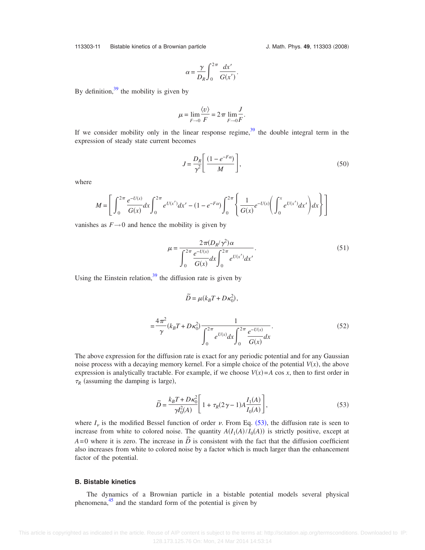113303-11 Bistable kinetics of a Brownian particle

J. Math. Phys. 49, 113303 (2008)

$$
\alpha = \frac{\gamma}{D_R} \int_0^{2\pi} \frac{dx'}{G(x')}.
$$

By definition,  $39$  the mobility is given by

$$
\mu = \lim_{F \to 0} \frac{\langle v \rangle}{F} = 2\pi \lim_{F \to 0} \frac{J}{F}.
$$

If we consider mobility only in the linear response regime, $39$  the double integral term in the expression of steady state current becomes

$$
J = \frac{D_R}{\gamma^2} \left[ \frac{(1 - e^{-F\alpha})}{M} \right],\tag{50}
$$

where

$$
M = \left[ \int_0^{2\pi} \frac{e^{-U(x)}}{G(x)} dx \int_0^{2\pi} e^{U(x')} dx' - (1 - e^{-F\alpha}) \int_0^{2\pi} \left\{ \frac{1}{G(x)} e^{-U(x)} \left( \int_0^x e^{U(x')} dx' \right) dx \right\} \right]
$$

vanishes as  $F \rightarrow 0$  and hence the mobility is given by

$$
\mu = \frac{2\pi (D_R/\gamma^2)\alpha}{\int_0^{2\pi} \frac{e^{-U(x)}}{G(x)} dx \int_0^{2\pi} e^{U(x')} dx'}
$$
 (51)

Using the Einstein relation,  $39$  the diffusion rate is given by

$$
\tilde{D} = \mu(k_B T + D\kappa_0^2),
$$
  
=  $\frac{4\pi^2}{\gamma} (k_B T + D\kappa_0^2) \frac{1}{\int_0^{2\pi} e^{U(x)} dx \int_0^{2\pi} \frac{e^{-U(x)}}{G(x)} dx}.$  (52)

The above expression for the diffusion rate is exact for any periodic potential and for any Gaussian noise process with a decaying memory kernel. For a simple choice of the potential  $V(x)$ , the above expression is analytically tractable. For example, if we choose  $V(x)=A \cos x$ , then to first order in  $\tau_R$  (assuming the damping is large),

$$
\widetilde{D} = \frac{k_B T + D \kappa_0^2}{\gamma I_0^2(A)} \left[ 1 + \tau_R (2\gamma - 1) A \frac{I_1(A)}{I_0(A)} \right],\tag{53}
$$

<span id="page-11-0"></span>where  $I_{\nu}$  is the modified Bessel function of order  $\nu$ . From Eq. ([53](#page-11-0)), the diffusion rate is seen to increase from white to colored noise. The quantity  $A(I_1(A)/I_0(A))$  is strictly positive, except at  $A=0$  where it is zero. The increase in  $\tilde{D}$  is consistent with the fact that the diffusion coefficient also increases from white to colored noise by a factor which is much larger than the enhancement factor of the potential.

#### **B. Bistable kinetics**

The dynamics of a Brownian particle in a bistable potential models several physical phenomena, $45$  and the standard form of the potential is given by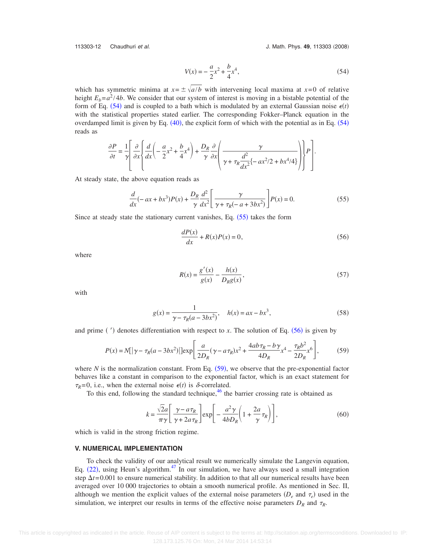<span id="page-12-0"></span>113303-12 Chaudhuri *et al.* **All and Accord 2008** J. Math. Phys. 49, 113303 (2008)

$$
V(x) = -\frac{a}{2}x^2 + \frac{b}{4}x^4,
$$
\n(54)

which has symmetric minima at  $x = \pm \sqrt{a/b}$  with intervening local maxima at  $x=0$  of relative height  $E_b = a^2 / 4b$ . We consider that our system of interest is moving in a bistable potential of the form of Eq. ([54](#page-12-0)) and is coupled to a bath which is modulated by an external Gaussian noise  $\epsilon(t)$ with the statistical properties stated earlier. The corresponding Fokker–Planck equation in the overdamped limit is given by Eq.  $(40)$  $(40)$  $(40)$ , the explicit form of which with the potential as in Eq.  $(54)$  $(54)$  $(54)$ reads as

$$
\frac{\partial P}{\partial t} = \frac{1}{\gamma} \left[ \frac{\partial}{\partial x} \left\{ \frac{d}{dx} \left( -\frac{a}{2} x^2 + \frac{b}{4} x^4 \right) + \frac{D_R}{\gamma} \frac{\partial}{\partial x} \left( \frac{\gamma}{\gamma + \tau_R \frac{d^2}{dx^2} \left\{ -ax^2/2 + bx^4/4 \right\}} \right) \right\} P \right].
$$

<span id="page-12-1"></span>At steady state, the above equation reads as

$$
\frac{d}{dx}(-ax+bx^3)P(x) + \frac{D_R}{\gamma} \frac{d^2}{dx^2} \left[ \frac{\gamma}{\gamma + \tau_R(-a+3bx^2)} \right] P(x) = 0.
$$
\n(55)

<span id="page-12-2"></span>Since at steady state the stationary current vanishes, Eq.  $(55)$  $(55)$  $(55)$  takes the form

$$
\frac{dP(x)}{dx} + R(x)P(x) = 0,\t(56)
$$

where

$$
R(x) = \frac{g'(x)}{g(x)} - \frac{h(x)}{D_R g(x)},
$$
\n(57)

with

$$
g(x) = \frac{1}{\gamma - \tau_R(a - 3bx^2)}, \quad h(x) = ax - bx^3,
$$
 (58)

<span id="page-12-3"></span>and prime  $(')$  denotes differentiation with respect to *x*. The solution of Eq.  $(56)$  $(56)$  $(56)$  is given by

$$
P(x) = N[|\gamma - \tau_R(a - 3bx^2)|] \exp\left[\frac{a}{2D_R}(\gamma - a\tau_R)x^2 + \frac{4ab\tau_R - b\gamma}{4D_R}x^4 - \frac{\tau_R b^2}{2D_R}x^6\right],
$$
(59)

where  $N$  is the normalization constant. From Eq.  $(59)$  $(59)$  $(59)$ , we observe that the pre-exponential factor behaves like a constant in comparison to the exponential factor, which is an exact statement for  $\tau_R = 0$ , i.e., when the external noise  $\epsilon(t)$  is  $\delta$ -correlated.

To this end, following the standard technique,  $46$  the barrier crossing rate is obtained as

$$
k = \frac{\sqrt{2}a}{\pi\gamma} \left[ \frac{\gamma - a\tau_R}{\gamma + 2a\tau_R} \right] \exp\left[ -\frac{a^2\gamma}{4bD_R} \left( 1 + \frac{2a}{\gamma} \tau_R \right) \right],\tag{60}
$$

<span id="page-12-4"></span>which is valid in the strong friction regime.

#### **V. NUMERICAL IMPLEMENTATION**

To check the validity of our analytical result we numerically simulate the Langevin equation, Eq.  $(22)$  $(22)$  $(22)$ , using Heun's algorithm.<sup>47</sup> In our simulation, we have always used a small integration step  $\Delta t = 0.001$  to ensure numerical stability. In addition to that all our numerical results have been averaged over 10 000 trajectories to obtain a smooth numerical profile. As mentioned in Sec. II, although we mention the explicit values of the external noise parameters  $(D_e$  and  $\tau_e$ ) used in the simulation, we interpret our results in terms of the effective noise parameters  $D_R$  and  $\tau_R$ .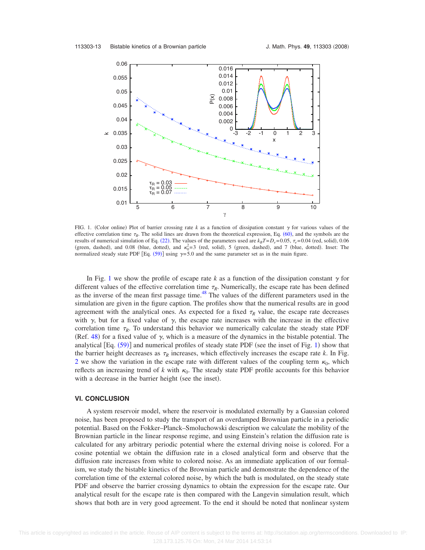<span id="page-13-0"></span>

FIG. 1. (Color online) Plot of barrier crossing rate  $k$  as a function of dissipation constant  $\gamma$  for various values of the effective correlation time  $\tau_R$ . The solid lines are drawn from the theoretical expression, Eq. ([60](#page-12-4)), and the symbols are the results of numerical simulation of Eq. ([22](#page-6-1)). The values of the parameters used are  $k_B T = D_e = 0.05$ ,  $\tau_e = 0.04$  (red, solid), 0.06 (green, dashed), and 0.08 (blue, dotted), and  $\kappa_0^2 = 3$  (red, solid), 5 (green, dashed), and 7 (blue, dotted). Inset: The normalized steady state PDF [Eq.  $(59)$  $(59)$  $(59)$ ] using  $\gamma = 5.0$  and the same parameter set as in the main figure.

In Fig. [1](#page-13-0) we show the profile of escape rate *k* as a function of the dissipation constant  $\gamma$  for different values of the effective correlation time  $\tau_R$ . Numerically, the escape rate has been defined as the inverse of the mean first passage time.<sup>48</sup> The values of the different parameters used in the simulation are given in the figure caption. The profiles show that the numerical results are in good agreement with the analytical ones. As expected for a fixed  $\tau_R$  value, the escape rate decreases with  $\gamma$ , but for a fixed value of  $\gamma$ , the escape rate increases with the increase in the effective correlation time  $\tau_R$ . To understand this behavior we numerically calculate the steady state PDF (Ref. [48](#page-15-32)) for a fixed value of  $\gamma$ , which is a measure of the dynamics in the bistable potential. The analytical  $[Eq. (59)]$  $[Eq. (59)]$  $[Eq. (59)]$  and numerical profiles of steady state PDF (see the inset of Fig. [1](#page-13-0)) show that the barrier height decreases as  $\tau_R$  increases, which effectively increases the escape rate  $k$ . In Fig. [2](#page-14-13) we show the variation in the escape rate with different values of the coupling term  $\kappa_0$ , which reflects an increasing trend of  $k$  with  $\kappa_0$ . The steady state PDF profile accounts for this behavior with a decrease in the barrier height (see the inset).

#### **VI. CONCLUSION**

A system reservoir model, where the reservoir is modulated externally by a Gaussian colored noise, has been proposed to study the transport of an overdamped Brownian particle in a periodic potential. Based on the Fokker–Planck–Smoluchowski description we calculate the mobility of the Brownian particle in the linear response regime, and using Einstein's relation the diffusion rate is calculated for any arbitrary periodic potential where the external driving noise is colored. For a cosine potential we obtain the diffusion rate in a closed analytical form and observe that the diffusion rate increases from white to colored noise. As an immediate application of our formalism, we study the bistable kinetics of the Brownian particle and demonstrate the dependence of the correlation time of the external colored noise, by which the bath is modulated, on the steady state PDF and observe the barrier crossing dynamics to obtain the expression for the escape rate. Our analytical result for the escape rate is then compared with the Langevin simulation result, which shows that both are in very good agreement. To the end it should be noted that nonlinear system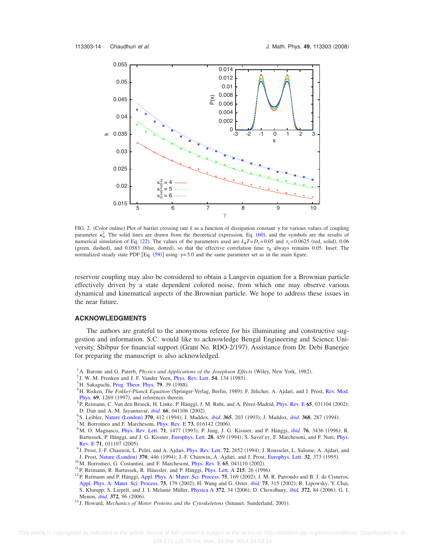<span id="page-14-13"></span>

FIG. 2. (Color online) Plot of barrier crossing rate  $k$  as a function of dissipation constant  $\gamma$  for various values of coupling parameter  $\kappa_0^2$ . The solid lines are drawn from the theoretical expression, Eq. ([60](#page-12-4)), and the symbols are the results of numerical simulation of Eq. ([22](#page-6-1)). The values of the parameters used are  $k_B T = D_e = 0.05$  and  $\tau_e = 0.0625$  (red, solid), 0.06 (green, dashed), and 0.0583 (blue, dotted), so that the effective correlation time  $\tau_R$  always remains 0.05. Inset: The normalized steady state PDF [Eq.  $(59)$  $(59)$  $(59)$ ] using  $\gamma = 5.0$  and the same parameter set as in the main figure.

reservoir coupling may also be considered to obtain a Langevin equation for a Brownian particle effectively driven by a state dependent colored noise, from which one may observe various dynamical and kinematical aspects of the Brownian particle. We hope to address these issues in the near future.

## **ACKNOWLEDGMENTS**

The authors are grateful to the anonymous referee for his illuminating and constructive suggestion and information. S.C. would like to acknowledge Bengal Engineering and Science University, Shibpur for financial support (Grant No. RDO-2/197). Assistance from Dr. Debi Banerjee for preparing the manuscript is also acknowledged.

- <span id="page-14-1"></span><span id="page-14-0"></span><sup>1</sup> A. Barone and G. Paterb, *Physics and Applications of the Josephson Effects* (Wiley, New York, 1982).
- <sup>2</sup> J. W. M. Frenken and J. F. Vander Veen, *[Phys. Rev. Lett.](http://dx.doi.org/10.1103/PhysRevLett.54.134)* **54**, 134 (1985).
- <span id="page-14-2"></span><sup>3</sup>H. Sakaguchi, [Prog. Theor. Phys.](http://dx.doi.org/10.1143/PTP.79.39) **79**, 39 (1988).<br><sup>4</sup>H. Biskop. *The Eables Planek Equation* (Springs)
- <span id="page-14-3"></span>H. Risken, The Fokker-Planck Equation (Springer-Verlag, Berlin, 1989); F. Jülicher, A. Ajdari, and J. Prost, [Rev. Mod.](http://dx.doi.org/10.1103/RevModPhys.69.1269) **[Phys.](http://dx.doi.org/10.1103/RevModPhys.69.1269)**  $69$ **,** 1269 (1997), and references therein.
- <span id="page-14-4"></span>P. Reimann, C. Van den Broeck, H. Linke, P. Hänggi, J. M. Rubi, and A. Pérez-Madrid, [Phys. Rev. E](http://dx.doi.org/10.1103/PhysRevE.65.031104) 65, 031104 (2002); D. Dan and A. M. Jayannavar, *[ibid.](http://dx.doi.org/10.1103/PhysRevE.66.041106)* **66**, 041106 (2002).<br><sup>6</sup> S. Leibler, Nature (London) **370**, 412 (1004): L. Medde
- <span id="page-14-5"></span><sup>6</sup> S. Leibler, Nature ([London](http://dx.doi.org/10.1038/370412a0)) **370**, 412 (1994); J. Maddox, *[ibid.](http://dx.doi.org/10.1038/368287a0)* **365**, 203 (1993); J. Maddox, *ibid.* **368**, 287 (1994).<br><sup>7</sup>M. Bertamae and E. Marshasoni, Phys. Boy. E.**73**, 016142 (2006).

<sup>7</sup> M. Borromeo and F. Marchesoni, *[Phys. Rev. E](http://dx.doi.org/10.1103/PhysRevE.73.016142)* **73**, 016142 (2006).

- <span id="page-14-7"></span><span id="page-14-6"></span>M. O. Magnasco, [Phys. Rev. Lett.](http://dx.doi.org/10.1103/PhysRevLett.71.1477) 71, 1477 (1993); P. Jung, J. G. Kissner, and P. Hänggi, *[ibid.](http://dx.doi.org/10.1103/PhysRevLett.76.3436)* 76, 3436 (1996); R. Bartussek, P. Hänggi, and J. G. Kissner, [Europhys. Lett.](http://dx.doi.org/10.1209/0295-5075/28/7/001) 28, 459 (1994); S. Savel'ev, F. Marchesoni, and F. Nori, [Phys.](http://dx.doi.org/10.1103/PhysRevE.71.011107) [Rev. E](http://dx.doi.org/10.1103/PhysRevE.71.011107) 71, 011107 (2005). Rev. E 71, 011107 (2005).<br><sup>9</sup> J. Prost, J.-F. Chauwin, L. Peliti, and A. Ajdari, *[Phys. Rev. Lett.](http://dx.doi.org/10.1103/PhysRevLett.72.2652) 72, 2652 (1994)*; J. Rousselet, L. Salome, A. Ajdari, and
- <span id="page-14-8"></span>J. Prost, Nature ([London](http://dx.doi.org/10.1038/370446a0)) 370, 446 (1994); J.-F. Chauwin, A. Ajdari, and J. Prost, [Europhys. Lett.](http://dx.doi.org/10.1209/0295-5075/32/4/015) 32, 373 (1995)
- <sup>10</sup>M. Borromeo, G. Costantini, and F. Marchesoni, *[Phys. Rev. E](http://dx.doi.org/10.1103/PhysRevE.65.041110)* 65, 041110 (2002).
- <span id="page-14-11"></span><span id="page-14-10"></span><span id="page-14-9"></span><sup>11</sup> P. Reimann, R. Bartussek, R. Häussler, and P. Hänggi, *[Phys. Lett. A](http://dx.doi.org/10.1016/0375-9601(96)00222-8)* 215, 26 (1996).
- <sup>11</sup> P. Reimann, R. Bartussek, R. Häussler, and P. Hänggi, Phys. Lett. A 215, 26 (1996).<br><sup>12</sup> P. Reimann and P. Hänggi, [Appl. Phys. A: Mater. Sci. Process.](http://dx.doi.org/10.1007/s003390201331) 75, 169 (2002); J. M. R. Parrondo and B. J. de Cisneros, [Appl. Phys. A: Mater. Sci. Process.](http://dx.doi.org/10.1007/s003390201332) 75, 179 (2002); H. Wang and G. Oster, *[ibid.](http://dx.doi.org/10.1007/s003390201340)* 75, 315 (2002); R. Lipowsky, Y. Chai, S. Klumpp, S. Liepelt, and J. I. Melanie Müller, *[Physica A](http://dx.doi.org/10.1016/j.physa.2006.05.019) 372, 34 (2006)*; D. Chowdhury, *[ibid.](http://dx.doi.org/10.1016/j.physa.2006.05.005)* 372, 84 (2006); G. I. Menon, *[ibid.](http://dx.doi.org/10.1016/j.physa.2006.05.025)* **372**, 96 (2006). Menon, *ibid.* 372, 96 (2006).<br><sup>13</sup> J. Howard, *Mechanics of Motor Proteins and the Cytoskeletons* (Sinauer, Sunderland, 2001).

<span id="page-14-12"></span>